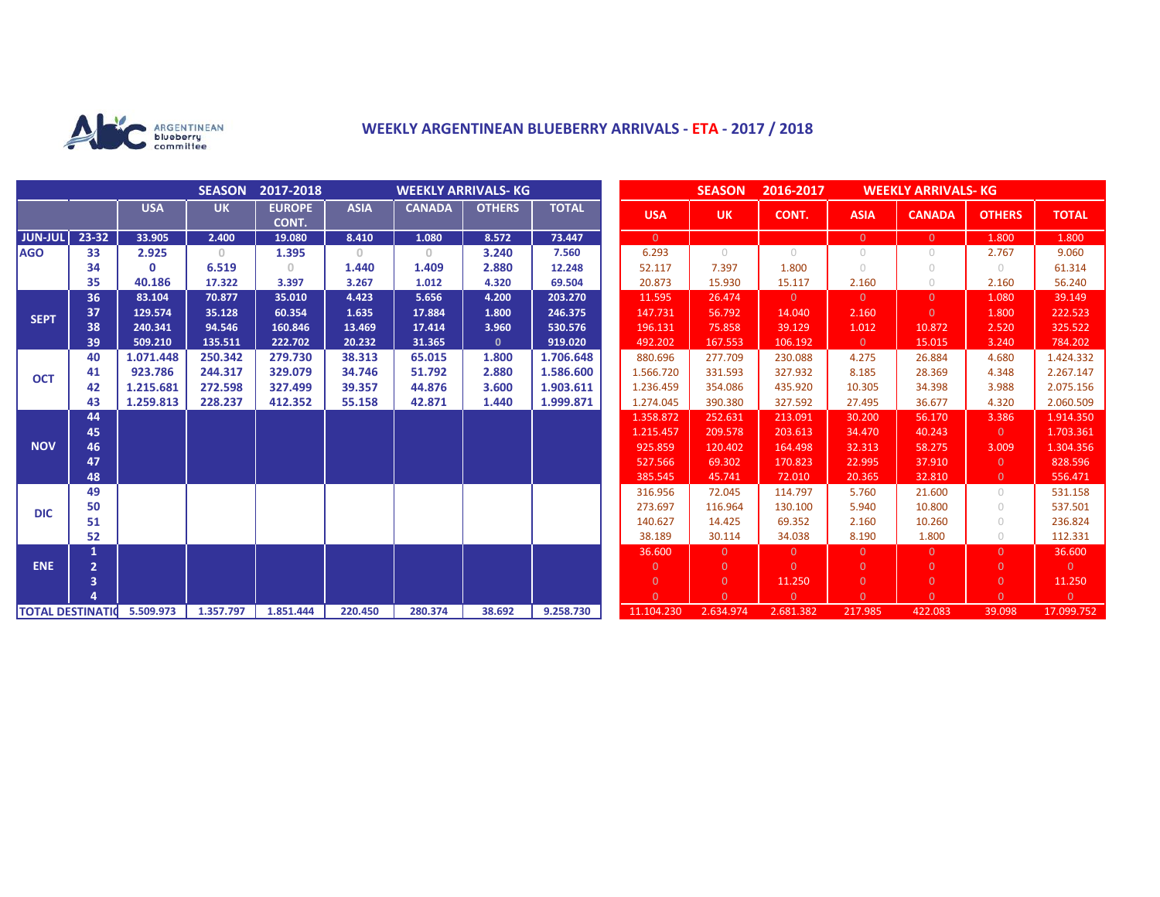

# **WEEKLY ARGENTINEAN BLUEBERRY ARRIVALS - ETA - 2017 / 2018**

|                          |                |            | <b>SEASON</b> | 2017-2018              | <b>WEEKLY ARRIVALS- KG</b> |               |               |              |  | <b>SEASON</b><br>2016-2017<br><b>WEEKLY ARRIVALS- KG</b> |                |                |                |                |                |                |
|--------------------------|----------------|------------|---------------|------------------------|----------------------------|---------------|---------------|--------------|--|----------------------------------------------------------|----------------|----------------|----------------|----------------|----------------|----------------|
|                          |                | <b>USA</b> | <b>UK</b>     | <b>EUROPE</b><br>CONT. | <b>ASIA</b>                | <b>CANADA</b> | <b>OTHERS</b> | <b>TOTAL</b> |  | <b>USA</b>                                               | <b>UK</b>      | CONT.          | <b>ASIA</b>    | <b>CANADA</b>  | <b>OTHERS</b>  | <b>TOTAL</b>   |
| <b>JUN-JUL</b>           | 23-32          | 33.905     | 2.400         | 19.080                 | 8.410                      | 1.080         | 8.572         | 73.447       |  | $\overline{0}$                                           |                |                | $\overline{0}$ | $\overline{0}$ | 1.800          | 1.800          |
| <b>AGO</b>               | 33             | 2.925      | $\circ$       | 1.395                  | $\mathbf{0}$               | $\circ$       | 3.240         | 7.560        |  | 6.293                                                    | $\bigcirc$     | $\bigcirc$     | $\circ$        | $\bigcirc$     | 2.767          | 9.060          |
|                          | 34             | $\Omega$   | 6.519         | 0.                     | 1.440                      | 1.409         | 2.880         | 12.248       |  | 52.117                                                   | 7.397          | 1.800          | $\bigcirc$     | $\bigcirc$     | $\bigcirc$     | 61.314         |
|                          | 35             | 40.186     | 17.322        | 3.397                  | 3.267                      | 1.012         | 4.320         | 69.504       |  | 20.873                                                   | 15.930         | 15.117         | 2.160          | $\circ$        | 2.160          | 56.240         |
| <b>SEPT</b>              | 36             | 83.104     | 70.877        | 35.010                 | 4.423                      | 5.656         | 4.200         | 203.270      |  | 11.595                                                   | 26.474         | $\Omega$       | $\overline{0}$ | $\Omega$       | 1.080          | 39.149         |
|                          | 37             | 129.574    | 35.128        | 60.354                 | 1.635                      | 17.884        | 1.800         | 246.375      |  | 147.731                                                  | 56.792         | 14.040         | 2.160          | $\Omega$       | 1.800          | 222.523        |
|                          | 38             | 240.341    | 94.546        | 160.846                | 13.469                     | 17.414        | 3.960         | 530.576      |  | 196.131                                                  | 75.858         | 39.129         | 1.012          | 10.872         | 2.520          | 325.522        |
|                          | 39             | 509.210    | 135.511       | 222.702                | 20.232                     | 31.365        | $\mathbf{0}$  | 919.020      |  | 492.202                                                  | 167.553        | 106.192        | $\overline{0}$ | 15.015         | 3.240          | 784.202        |
| <b>OCT</b>               | 40             | 1.071.448  | 250.342       | 279.730                | 38.313                     | 65.015        | 1.800         | 1.706.648    |  | 880.696                                                  | 277.709        | 230.088        | 4.275          | 26.884         | 4.680          | 1.424.332      |
|                          | 41             | 923.786    | 244.317       | 329.079                | 34.746                     | 51.792        | 2.880         | 1.586.600    |  | 1.566.720                                                | 331.593        | 327.932        | 8.185          | 28.369         | 4.348          | 2.267.147      |
|                          | 42             | 1.215.681  | 272.598       | 327.499                | 39.357                     | 44.876        | 3.600         | 1.903.611    |  | 1.236.459                                                | 354.086        | 435.920        | 10.305         | 34.398         | 3.988          | 2.075.156      |
|                          | 43             | 1.259.813  | 228.237       | 412.352                | 55.158                     | 42.871        | 1.440         | 1.999.871    |  | 1.274.045                                                | 390.380        | 327.592        | 27.495         | 36.677         | 4.320          | 2.060.509      |
| <b>NOV</b>               | 44             |            |               |                        |                            |               |               |              |  | 1.358.872                                                | 252.631        | 213.091        | 30.200         | 56.170         | 3.386          | 1.914.350      |
|                          | 45             |            |               |                        |                            |               |               |              |  | 1.215.457                                                | 209.578        | 203.613        | 34.470         | 40.243         | $\Omega$       | 1.703.361      |
|                          | 46             |            |               |                        |                            |               |               |              |  | 925.859                                                  | 120.402        | 164.498        | 32.313         | 58.275         | 3.009          | 1.304.356      |
|                          | 47             |            |               |                        |                            |               |               |              |  | 527.566                                                  | 69.302         | 170.823        | 22.995         | 37.910         | $\Omega$       | 828.596        |
|                          | 48             |            |               |                        |                            |               |               |              |  | 385.545                                                  | 45.741         | 72.010         | 20.365         | 32.810         | $\overline{0}$ | 556.471        |
| <b>DIC</b>               | 49             |            |               |                        |                            |               |               |              |  | 316.956                                                  | 72.045         | 114.797        | 5.760          | 21.600         | $\bigcirc$     | 531.158        |
|                          | 50             |            |               |                        |                            |               |               |              |  | 273.697                                                  | 116.964        | 130.100        | 5.940          | 10.800         | $\bigcirc$     | 537.501        |
|                          | 51             |            |               |                        |                            |               |               |              |  | 140.627                                                  | 14.425         | 69.352         | 2.160          | 10.260         | $\bigcirc$     | 236.824        |
|                          | 52             |            |               |                        |                            |               |               |              |  | 38.189                                                   | 30.114         | 34.038         | 8.190          | 1.800          | $\bigcirc$     | 112.331        |
| <b>ENE</b>               |                |            |               |                        |                            |               |               |              |  | 36,600                                                   | $\Omega$       | $\overline{0}$ | $\overline{0}$ | $\Omega$       | $\Omega$       | 36.600         |
|                          | $\overline{2}$ |            |               |                        |                            |               |               |              |  | $\mathbf{0}$                                             | $\Omega$       | $\Omega$       | $\overline{0}$ | $\Omega$       | $\Omega$       | $\overline{0}$ |
|                          | 3              |            |               |                        |                            |               |               |              |  | $\overline{0}$                                           | $\overline{0}$ | 11.250         | $\overline{0}$ | $\overline{0}$ | $\overline{0}$ | 11.250         |
|                          |                |            |               |                        |                            |               |               |              |  | $\Omega$                                                 | $\Omega$       | $\Omega$       | $\Omega$       | $\Omega$       | $\Omega$       | $\overline{0}$ |
| <b>TOTAL DESTINATION</b> |                | 5.509.973  | 1.357.797     | 1.851.444              | 220,450                    | 280.374       | 38.692        | 9.258.730    |  | 11.104.230                                               | 2.634.974      | 2.681.382      | 217.985        | 422.083        | 39.098         | 17.099.752     |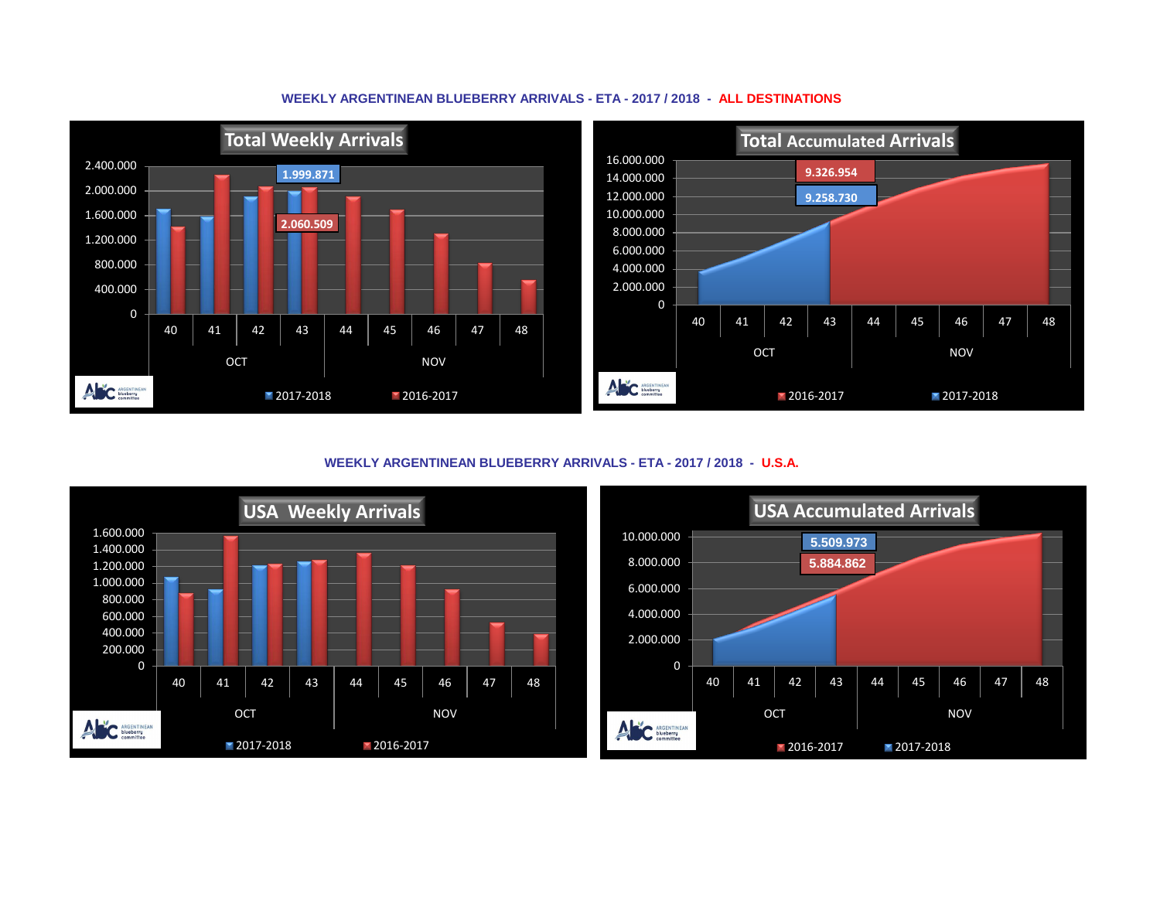

### **WEEKLY ARGENTINEAN BLUEBERRY ARRIVALS - ETA - 2017 / 2018 - ALL DESTINATIONS**

**WEEKLY ARGENTINEAN BLUEBERRY ARRIVALS - ETA - 2017 / 2018 - U.S.A.**



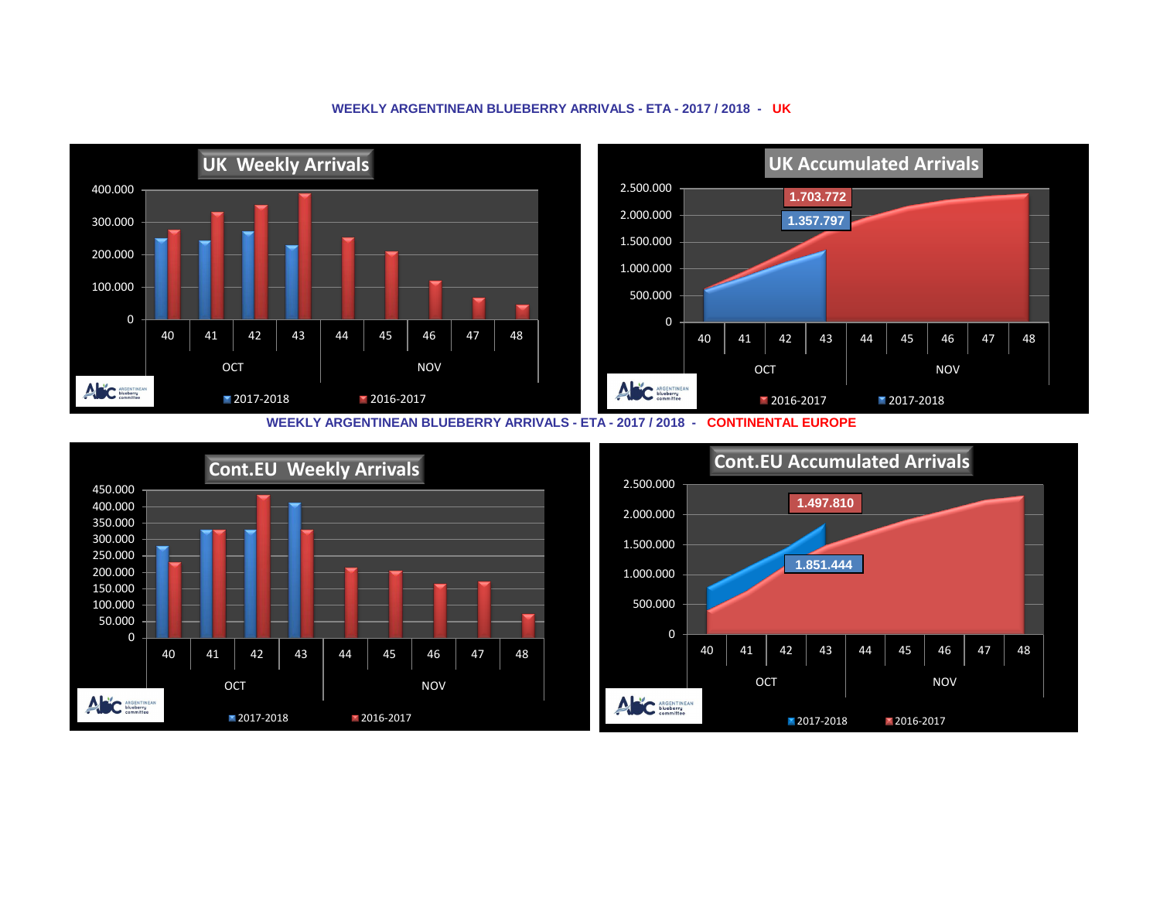#### **UK Weekly Arrivals UK Accumulated Arrivals** 2.500.000 400.000 **1.703.772** 2.000.000 **1.357.797** 300.000 1.500.000 200.000 1.000.000 100.000 500.000 0 0 40 | 41 | 42 | 43 | 44 | 45 | 46 | 47 | 48 40 | 41 | 42 | 43 | 44 | 45 | 46 | 47 | 48 OCT NOV OCT NOV ANC ARGENTINEAN ANC ARGENTINEAN 2017-2018 2016-2017 **2016-2017** 2017-2018

### **WEEKLY ARGENTINEAN BLUEBERRY ARRIVALS - ETA - 2017 / 2018 - UK**

**WEEKLY ARGENTINEAN BLUEBERRY ARRIVALS - ETA - 2017 / 2018 - CONTINENTAL EUROPE**